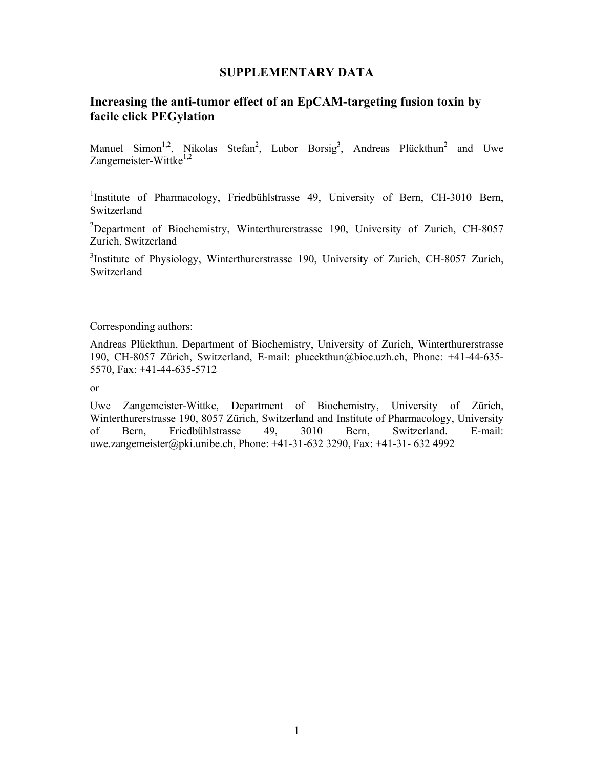## **SUPPLEMENTARY DATA**

## **Increasing the anti-tumor effect of an EpCAM-targeting fusion toxin by facile click PEGylation**

Manuel Simon<sup>1,2</sup>, Nikolas Stefan<sup>2</sup>, Lubor Borsig<sup>3</sup>, Andreas Plückthun<sup>2</sup> and Uwe Zangemeister-Wittke $^{1,2}$ 

<sup>1</sup>Institute of Pharmacology, Friedbühlstrasse 49, University of Bern, CH-3010 Bern, Switzerland

<sup>2</sup>Department of Biochemistry, Winterthurerstrasse 190, University of Zurich, CH-8057 Zurich, Switzerland

<sup>3</sup>Institute of Physiology, Winterthurerstrasse 190, University of Zurich, CH-8057 Zurich, Switzerland

Corresponding authors:

Andreas Plückthun, Department of Biochemistry, University of Zurich, Winterthurerstrasse 190, CH-8057 Zürich, Switzerland, E-mail: plueckthun@bioc.uzh.ch, Phone: +41-44-635- 5570, Fax: +41-44-635-5712

or

Uwe Zangemeister-Wittke, Department of Biochemistry, University of Zürich, Winterthurerstrasse 190, 8057 Zürich, Switzerland and Institute of Pharmacology, University of Bern, Friedbühlstrasse 49, 3010 Bern, Switzerland. E-mail: uwe.zangemeister@pki.unibe.ch, Phone: +41-31-632 3290, Fax: +41-31- 632 4992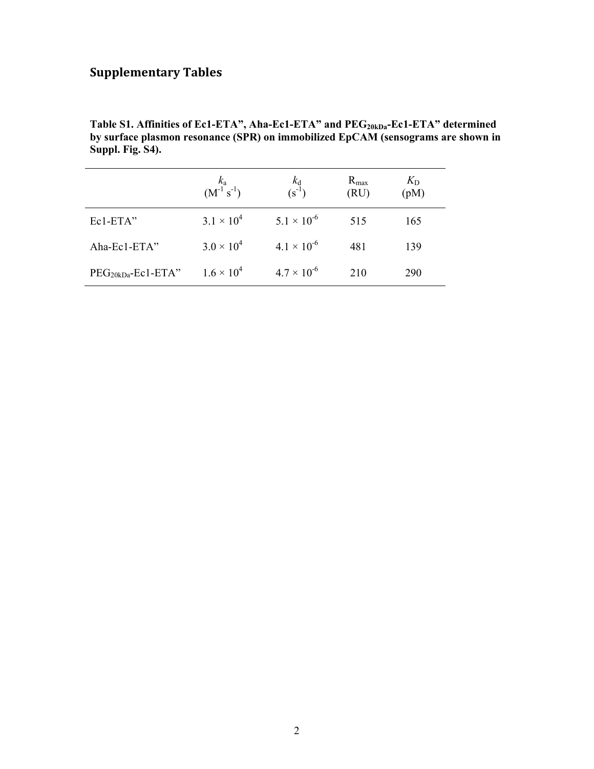## **Supplementary Tables**

Table S1. Affinities of Ec1-ETA", Aha-Ec1-ETA" and PEG<sub>20kDa</sub>-Ec1-ETA" determined **by surface plasmon resonance (SPR) on immobilized EpCAM (sensograms are shown in Suppl. Fig. S4).** 

|                     | $\frac{k_a}{(M^{-1} s^{-1})}$ | $\frac{k_d}{(s^{-1})}$ | $R_{\text{max}}$<br>(RU) | $K_{\rm D}$<br>(pM) |
|---------------------|-------------------------------|------------------------|--------------------------|---------------------|
| Ec1-ETA"            | $3.1 \times 10^{4}$           | $5.1 \times 10^{-6}$   | 515                      | 165                 |
| Aha-Ec1-ETA"        | $3.0 \times 10^{4}$           | $4.1 \times 10^{-6}$   | 481                      | 139                 |
| $PEG20kDa-Ec1-ETA"$ | $1.6 \times 10^{4}$           | $4.7 \times 10^{-6}$   | 210                      | 290                 |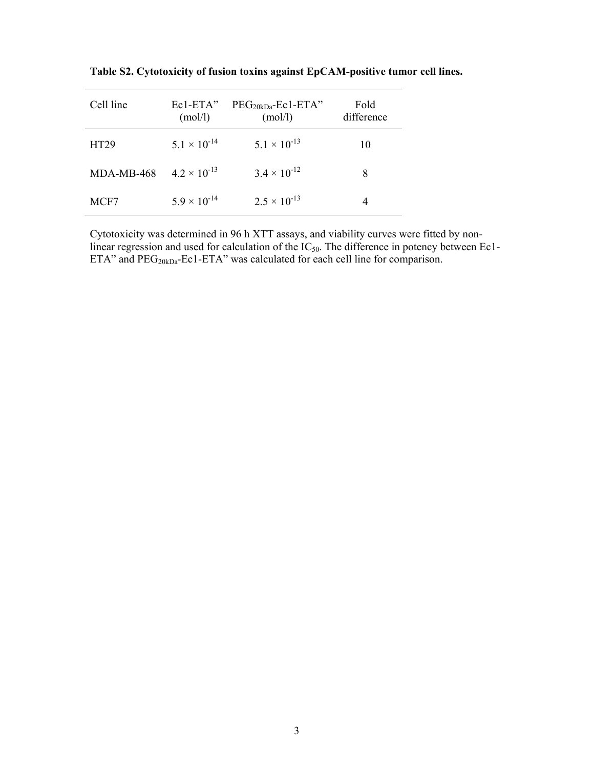| Cell line  | $Ec1-ETA"$<br>(mol/l) | $PEG20kDa-Ec1-ETA"$<br>(mol/l) | Fold<br>difference |
|------------|-----------------------|--------------------------------|--------------------|
| HT29       | $5.1 \times 10^{-14}$ | $5.1 \times 10^{-13}$          | 10                 |
| MDA-MB-468 | $4.2 \times 10^{-13}$ | $3.4 \times 10^{-12}$          | 8                  |
| MCF7       | $5.9 \times 10^{-14}$ | $2.5 \times 10^{-13}$          |                    |

**Table S2. Cytotoxicity of fusion toxins against EpCAM-positive tumor cell lines.** 

Cytotoxicity was determined in 96 h XTT assays, and viability curves were fitted by nonlinear regression and used for calculation of the  $IC_{50}$ . The difference in potency between Ec1-ETA" and  $PEG<sub>20kDa</sub>-Ec1-ETA"$  was calculated for each cell line for comparison.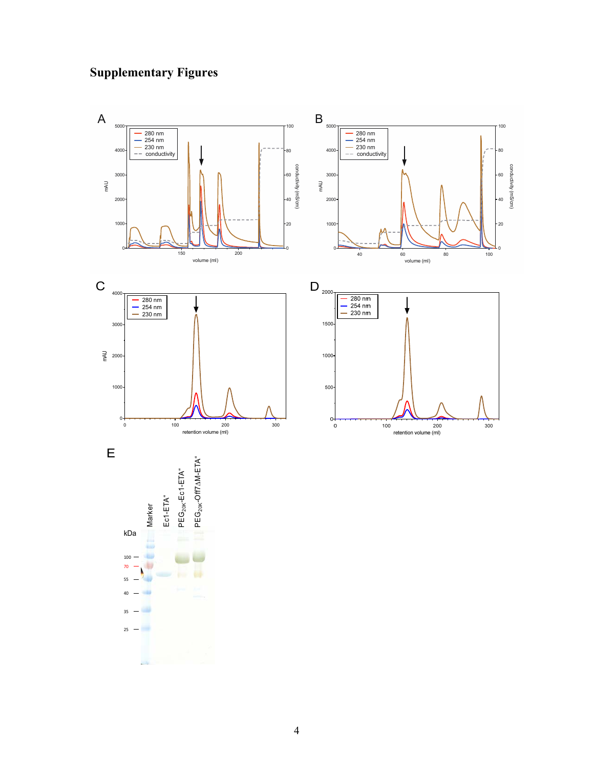## **Supplementary Figures**

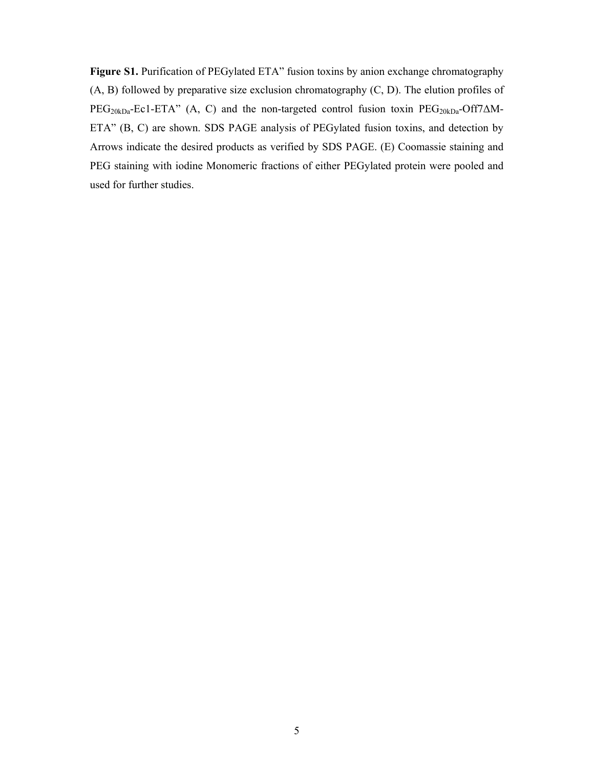Figure S1. Purification of PEGylated ETA" fusion toxins by anion exchange chromatography (A, B) followed by preparative size exclusion chromatography (C, D). The elution profiles of  $PEG<sub>20kDa</sub>-Ec1-ETA"$  (A, C) and the non-targeted control fusion toxin  $PEG<sub>20kDa</sub>-Off7\Delta M-$ ETA" (B, C) are shown. SDS PAGE analysis of PEGylated fusion toxins, and detection by Arrows indicate the desired products as verified by SDS PAGE. (E) Coomassie staining and PEG staining with iodine Monomeric fractions of either PEGylated protein were pooled and used for further studies.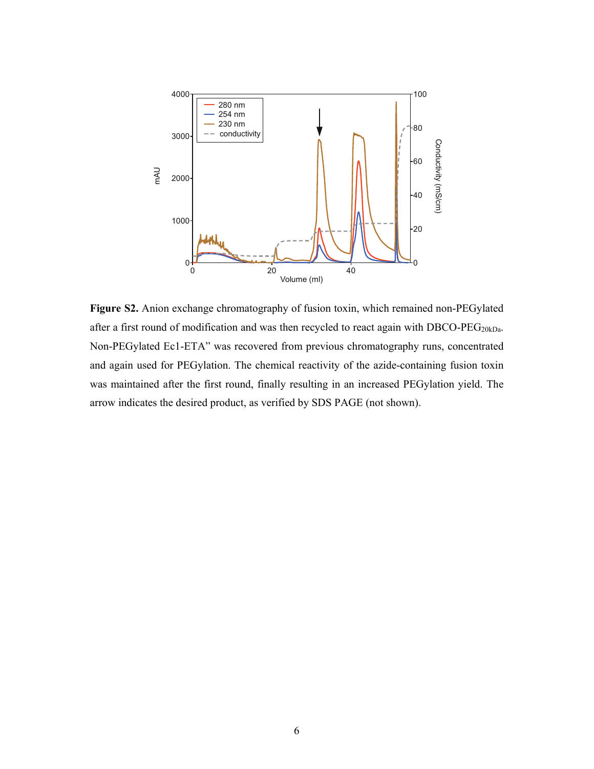

**Figure S2.** Anion exchange chromatography of fusion toxin, which remained non-PEGylated after a first round of modification and was then recycled to react again with  $DBCO-PEG<sub>20kDa</sub>$ . Non-PEGylated Ec1-ETA" was recovered from previous chromatography runs, concentrated and again used for PEGylation. The chemical reactivity of the azide-containing fusion toxin was maintained after the first round, finally resulting in an increased PEGylation yield. The arrow indicates the desired product, as verified by SDS PAGE (not shown).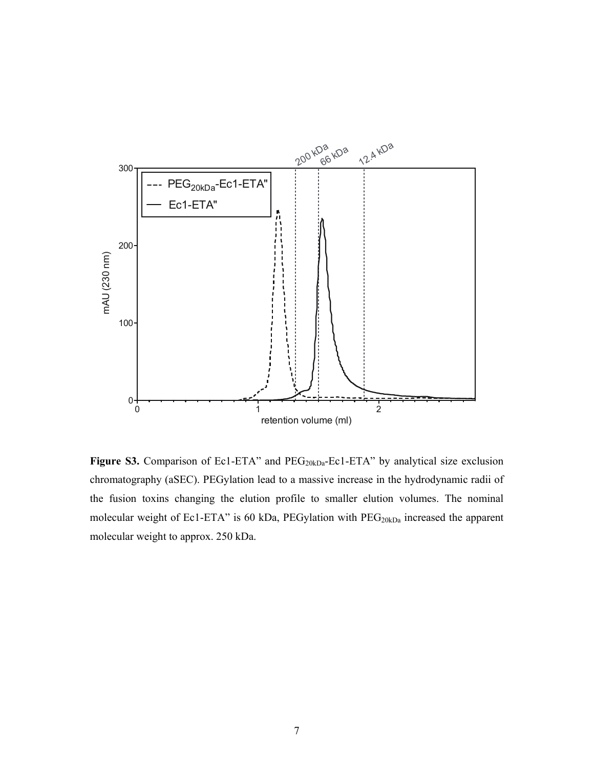

Figure S3. Comparison of Ec1-ETA" and PEG<sub>20kDa</sub>-Ec1-ETA" by analytical size exclusion chromatography (aSEC). PEGylation lead to a massive increase in the hydrodynamic radii of the fusion toxins changing the elution profile to smaller elution volumes. The nominal molecular weight of Ec1-ETA" is 60 kDa, PEGylation with  $PEG_{20kDa}$  increased the apparent molecular weight to approx. 250 kDa.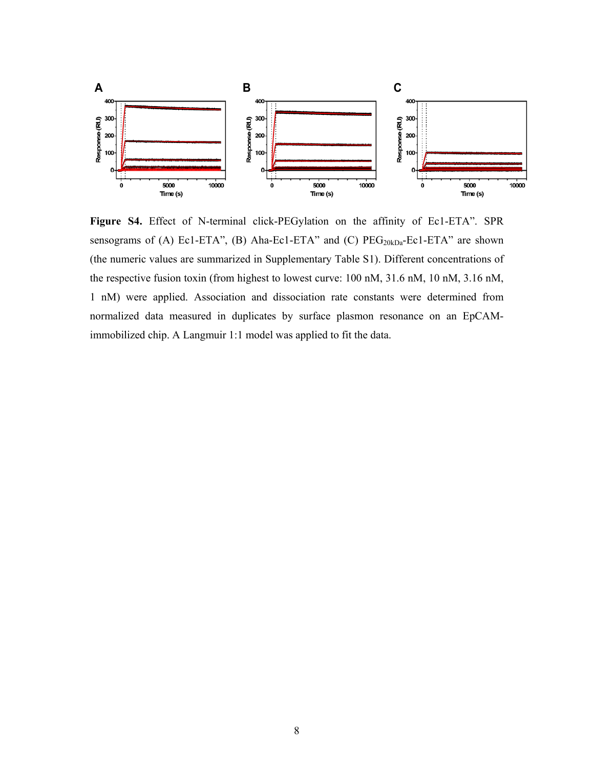

**Figure S4.** Effect of N-terminal click-PEGylation on the affinity of Ec1-ETA". SPR sensograms of (A) Ec1-ETA", (B) Aha-Ec1-ETA" and (C)  $PEG<sub>20kDa</sub>-Ec1-ETA$ " are shown (the numeric values are summarized in Supplementary Table S1). Different concentrations of the respective fusion toxin (from highest to lowest curve: 100 nM, 31.6 nM, 10 nM, 3.16 nM, 1 nM) were applied. Association and dissociation rate constants were determined from normalized data measured in duplicates by surface plasmon resonance on an EpCAMimmobilized chip. A Langmuir 1:1 model was applied to fit the data.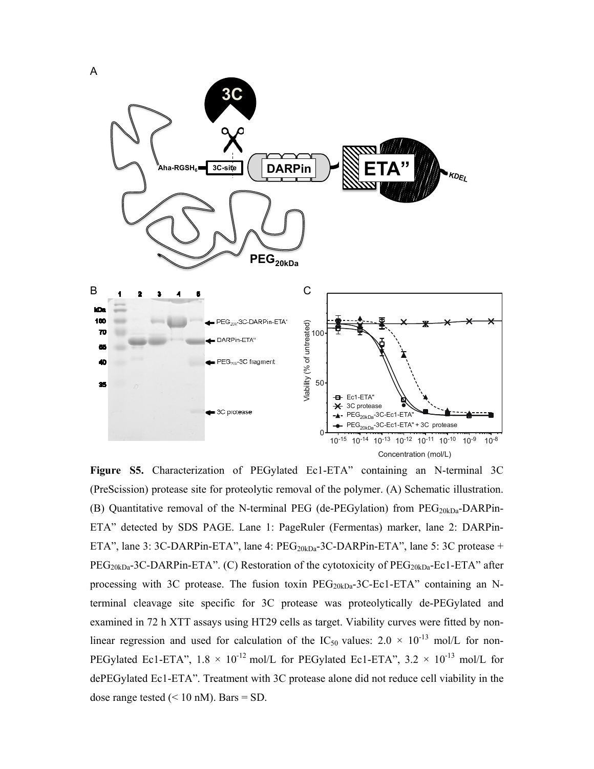

**Figure S5.** Characterization of PEGylated Ec1-ETA" containing an N-terminal 3C (PreScission) protease site for proteolytic removal of the polymer. (A) Schematic illustration. (B) Quantitative removal of the N-terminal PEG (de-PEGylation) from  $PEG_{20kDa}$ -DARPin-ETA" detected by SDS PAGE. Lane 1: PageRuler (Fermentas) marker, lane 2: DARPin-ETA", lane 3: 3C-DARPin-ETA", lane 4:  $PEG<sub>20kDa</sub>$ -3C-DARPin-ETA", lane 5: 3C protease +  $PEG<sub>20kDa</sub> - 3C-DARPin-ETA$ ". (C) Restoration of the cytotoxicity of  $PEG<sub>20kDa</sub> - Ec1-ETA$ " after processing with 3C protease. The fusion toxin  $PEG_{20kDa}$ -3C-Ec1-ETA" containing an Nterminal cleavage site specific for 3C protease was proteolytically de-PEGylated and examined in 72 h XTT assays using HT29 cells as target. Viability curves were fitted by nonlinear regression and used for calculation of the IC<sub>50</sub> values:  $2.0 \times 10^{-13}$  mol/L for non-PEGylated Ec1-ETA",  $1.8 \times 10^{-12}$  mol/L for PEGylated Ec1-ETA",  $3.2 \times 10^{-13}$  mol/L for dePEGylated Ec1-ETA". Treatment with 3C protease alone did not reduce cell viability in the dose range tested  $(< 10 \text{ nM})$ . Bars = SD.